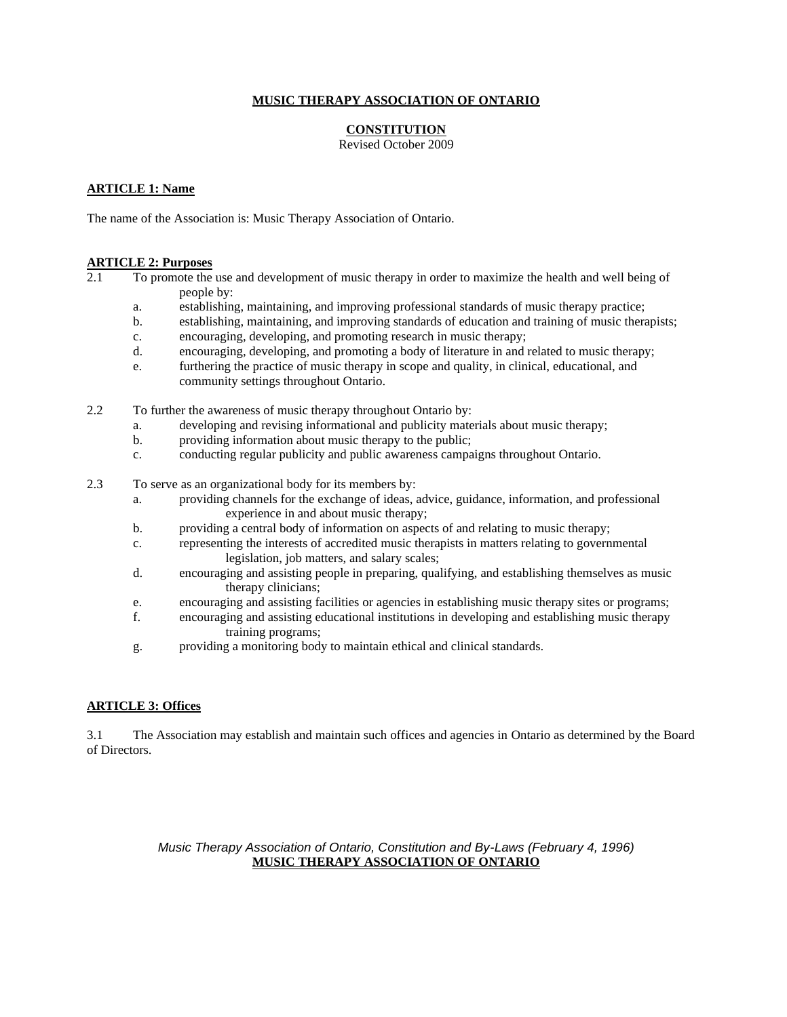### **MUSIC THERAPY ASSOCIATION OF ONTARIO**

## **CONSTITUTION**

Revised October 2009

#### **ARTICLE 1: Name**

The name of the Association is: Music Therapy Association of Ontario.

#### **ARTICLE 2: Purposes**

2.1 To promote the use and development of music therapy in order to maximize the health and well being of people by:

- a. establishing, maintaining, and improving professional standards of music therapy practice;
- b. establishing, maintaining, and improving standards of education and training of music therapists;
- c. encouraging, developing, and promoting research in music therapy;
- d. encouraging, developing, and promoting a body of literature in and related to music therapy;
- e. furthering the practice of music therapy in scope and quality, in clinical, educational, and community settings throughout Ontario.
- 2.2 To further the awareness of music therapy throughout Ontario by:
	- a. developing and revising informational and publicity materials about music therapy;
	- b. providing information about music therapy to the public;
	- c. conducting regular publicity and public awareness campaigns throughout Ontario.
- 2.3 To serve as an organizational body for its members by:
	- a. providing channels for the exchange of ideas, advice, guidance, information, and professional experience in and about music therapy;
	- b. providing a central body of information on aspects of and relating to music therapy;
	- c. representing the interests of accredited music therapists in matters relating to governmental legislation, job matters, and salary scales;
	- d. encouraging and assisting people in preparing, qualifying, and establishing themselves as music therapy clinicians;
	- e. encouraging and assisting facilities or agencies in establishing music therapy sites or programs;
	- f. encouraging and assisting educational institutions in developing and establishing music therapy training programs;
	- g. providing a monitoring body to maintain ethical and clinical standards.

## **ARTICLE 3: Offices**

3.1 The Association may establish and maintain such offices and agencies in Ontario as determined by the Board of Directors.

## *Music Therapy Association of Ontario, Constitution and By-Laws (February 4, 1996)* **MUSIC THERAPY ASSOCIATION OF ONTARIO**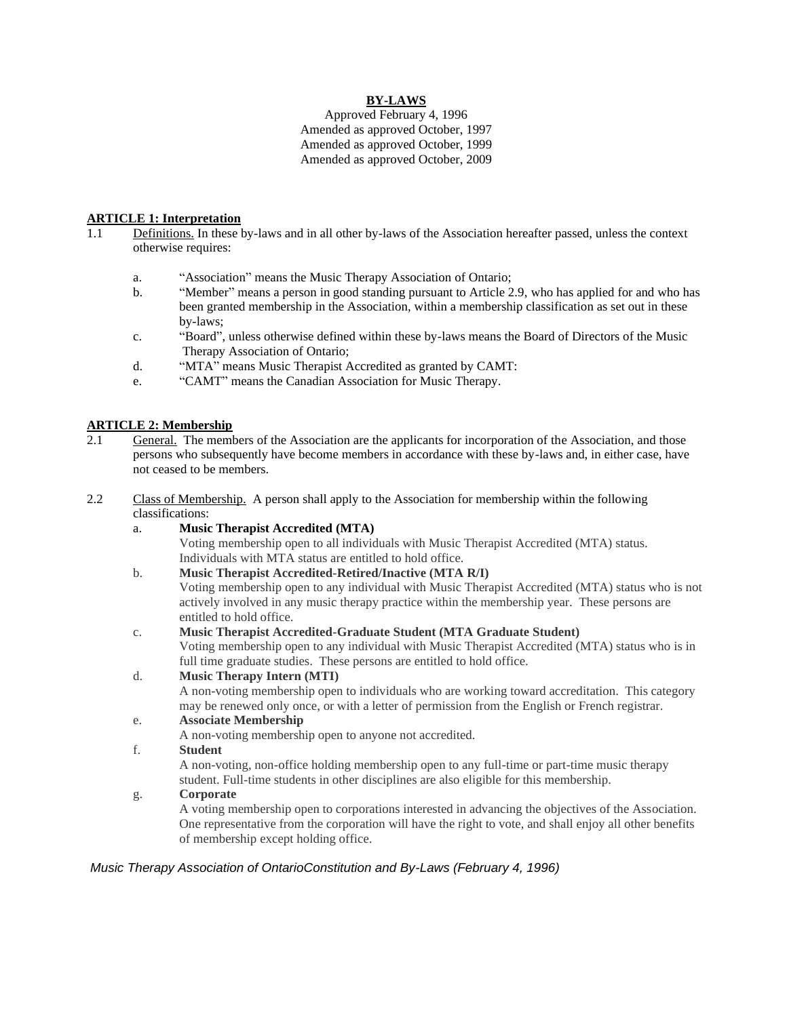## **BY-LAWS**

Approved February 4, 1996 Amended as approved October, 1997 Amended as approved October, 1999 Amended as approved October, 2009

#### **ARTICLE 1: Interpretation**

- 1.1 Definitions. In these by-laws and in all other by-laws of the Association hereafter passed, unless the context otherwise requires:
	- a. "Association" means the Music Therapy Association of Ontario;
	- b. "Member" means a person in good standing pursuant to Article 2.9, who has applied for and who has been granted membership in the Association, within a membership classification as set out in these by-laws;
	- c. "Board", unless otherwise defined within these by-laws means the Board of Directors of the Music Therapy Association of Ontario;
	- d. "MTA" means Music Therapist Accredited as granted by CAMT:
	- e. "CAMT" means the Canadian Association for Music Therapy.

## **ARTICLE 2: Membership**<br>2.1 **General**. The member

- 2.1 General. The members of the Association are the applicants for incorporation of the Association, and those persons who subsequently have become members in accordance with these by-laws and, in either case, have not ceased to be members.
- 2.2 Class of Membership. A person shall apply to the Association for membership within the following classifications:
	- a. **Music Therapist Accredited (MTA)** Voting membership open to all individuals with Music Therapist Accredited (MTA) status. Individuals with MTA status are entitled to hold office.
	- b. **Music Therapist Accredited-Retired/Inactive (MTA R/I)** Voting membership open to any individual with Music Therapist Accredited (MTA) status who is not actively involved in any music therapy practice within the membership year. These persons are entitled to hold office.
	- c. **Music Therapist Accredited-Graduate Student (MTA Graduate Student)** Voting membership open to any individual with Music Therapist Accredited (MTA) status who is in full time graduate studies. These persons are entitled to hold office.

#### d. **Music Therapy Intern (MTI)**

A non-voting membership open to individuals who are working toward accreditation. This category may be renewed only once, or with a letter of permission from the English or French registrar. e. **Associate Membership**

A non-voting membership open to anyone not accredited.

#### f. **Student**

A non-voting, non-office holding membership open to any full-time or part-time music therapy student. Full-time students in other disciplines are also eligible for this membership.

#### g. **Corporate**

A voting membership open to corporations interested in advancing the objectives of the Association. One representative from the corporation will have the right to vote, and shall enjoy all other benefits of membership except holding office.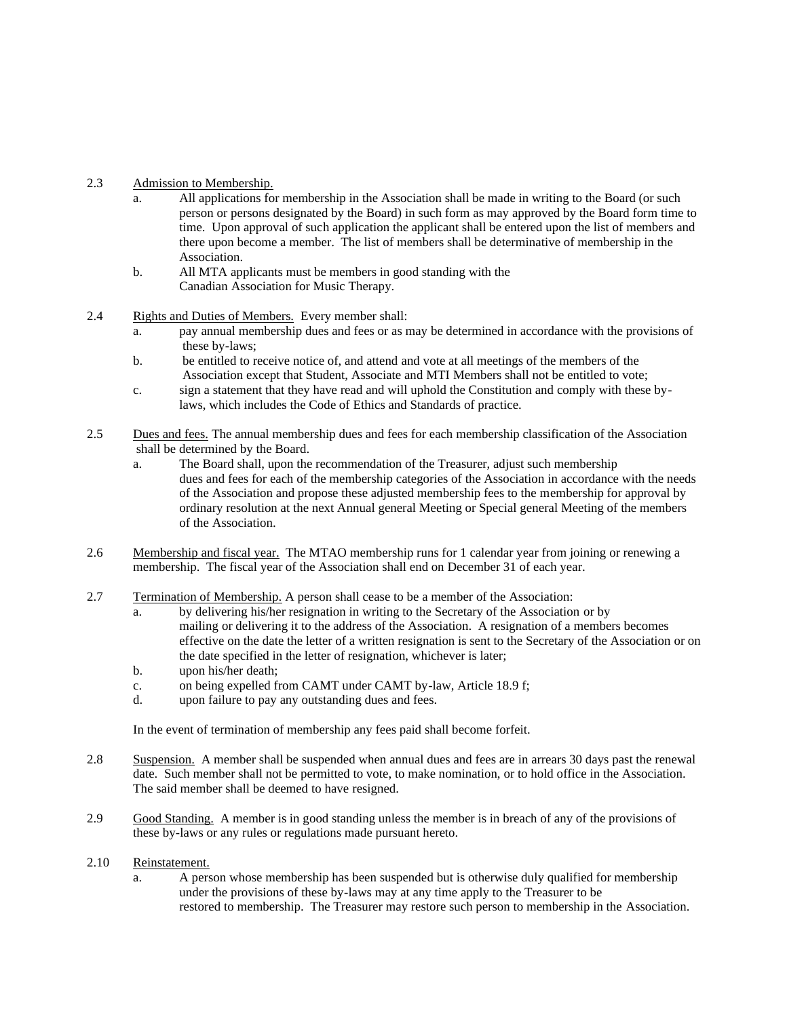## 2.3 Admission to Membership.

- a. All applications for membership in the Association shall be made in writing to the Board (or such person or persons designated by the Board) in such form as may approved by the Board form time to time. Upon approval of such application the applicant shall be entered upon the list of members and there upon become a member. The list of members shall be determinative of membership in the Association.
- b. All MTA applicants must be members in good standing with the Canadian Association for Music Therapy.
- 2.4 Rights and Duties of Members. Every member shall:
	- a. pay annual membership dues and fees or as may be determined in accordance with the provisions of these by-laws;
	- b. be entitled to receive notice of, and attend and vote at all meetings of the members of the Association except that Student, Associate and MTI Members shall not be entitled to vote;
	- c. sign a statement that they have read and will uphold the Constitution and comply with these bylaws, which includes the Code of Ethics and Standards of practice.
- 2.5 Dues and fees. The annual membership dues and fees for each membership classification of the Association shall be determined by the Board.
	- a. The Board shall, upon the recommendation of the Treasurer, adjust such membership dues and fees for each of the membership categories of the Association in accordance with the needs of the Association and propose these adjusted membership fees to the membership for approval by ordinary resolution at the next Annual general Meeting or Special general Meeting of the members of the Association.
- 2.6 Membership and fiscal year. The MTAO membership runs for 1 calendar year from joining or renewing a membership. The fiscal year of the Association shall end on December 31 of each year.
- 2.7 Termination of Membership. A person shall cease to be a member of the Association:
	- a. by delivering his/her resignation in writing to the Secretary of the Association or by mailing or delivering it to the address of the Association. A resignation of a members becomes effective on the date the letter of a written resignation is sent to the Secretary of the Association or on the date specified in the letter of resignation, whichever is later;
	- b. upon his/her death;
	- c. on being expelled from CAMT under CAMT by-law, Article 18.9 f;
	- d. upon failure to pay any outstanding dues and fees.

In the event of termination of membership any fees paid shall become forfeit.

- 2.8 Suspension. A member shall be suspended when annual dues and fees are in arrears 30 days past the renewal date. Such member shall not be permitted to vote, to make nomination, or to hold office in the Association. The said member shall be deemed to have resigned.
- 2.9 Good Standing. A member is in good standing unless the member is in breach of any of the provisions of these by-laws or any rules or regulations made pursuant hereto.

#### 2.10 Reinstatement.

a. A person whose membership has been suspended but is otherwise duly qualified for membership under the provisions of these by-laws may at any time apply to the Treasurer to be restored to membership. The Treasurer may restore such person to membership in the Association.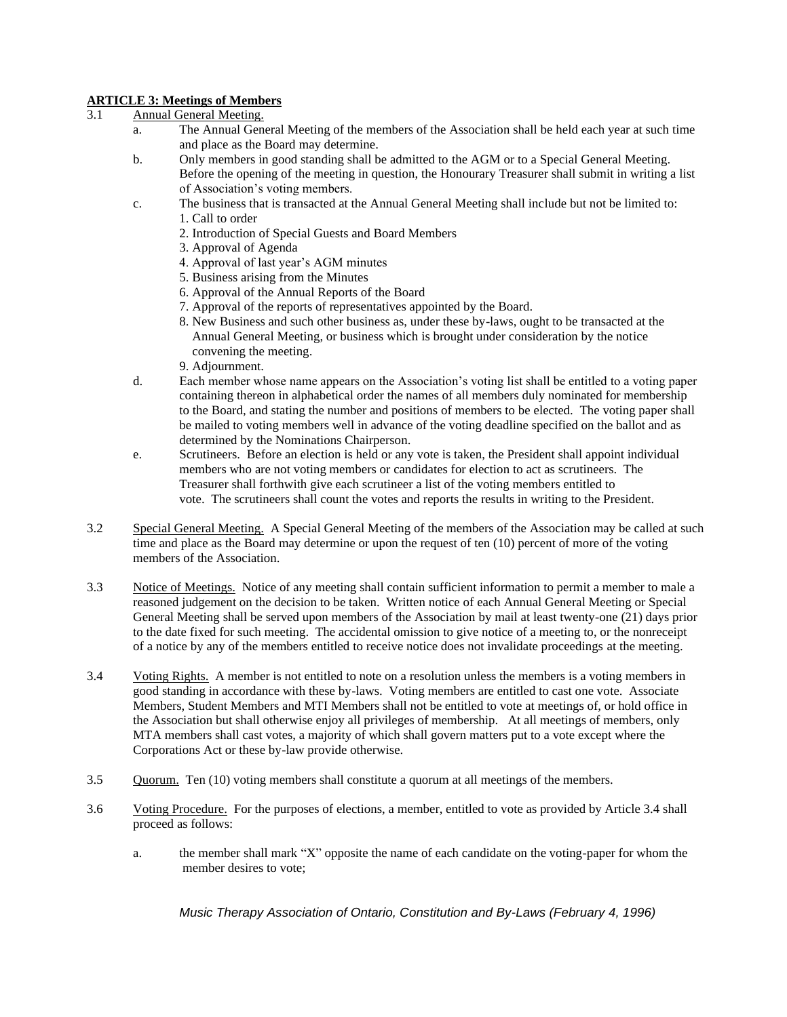# **ARTICLE 3: Meetings of Members**<br>3.1 **Annual General Meeting**

## Annual General Meeting.

- a. The Annual General Meeting of the members of the Association shall be held each year at such time and place as the Board may determine.
- b. Only members in good standing shall be admitted to the AGM or to a Special General Meeting. Before the opening of the meeting in question, the Honourary Treasurer shall submit in writing a list of Association's voting members.
- c. The business that is transacted at the Annual General Meeting shall include but not be limited to: 1. Call to order
	- 2. Introduction of Special Guests and Board Members
	- 3. Approval of Agenda
	- 4. Approval of last year's AGM minutes
	- 5. Business arising from the Minutes
	- 6. Approval of the Annual Reports of the Board
	- 7. Approval of the reports of representatives appointed by the Board.
	- 8. New Business and such other business as, under these by-laws, ought to be transacted at the Annual General Meeting, or business which is brought under consideration by the notice convening the meeting.
	- 9. Adjournment.
- d. Each member whose name appears on the Association's voting list shall be entitled to a voting paper containing thereon in alphabetical order the names of all members duly nominated for membership to the Board, and stating the number and positions of members to be elected. The voting paper shall be mailed to voting members well in advance of the voting deadline specified on the ballot and as determined by the Nominations Chairperson.
- e. Scrutineers. Before an election is held or any vote is taken, the President shall appoint individual members who are not voting members or candidates for election to act as scrutineers. The Treasurer shall forthwith give each scrutineer a list of the voting members entitled to vote. The scrutineers shall count the votes and reports the results in writing to the President.
- 3.2 Special General Meeting. A Special General Meeting of the members of the Association may be called at such time and place as the Board may determine or upon the request of ten (10) percent of more of the voting members of the Association.
- 3.3 Notice of Meetings. Notice of any meeting shall contain sufficient information to permit a member to male a reasoned judgement on the decision to be taken. Written notice of each Annual General Meeting or Special General Meeting shall be served upon members of the Association by mail at least twenty-one (21) days prior to the date fixed for such meeting. The accidental omission to give notice of a meeting to, or the nonreceipt of a notice by any of the members entitled to receive notice does not invalidate proceedings at the meeting.
- 3.4 Voting Rights. A member is not entitled to note on a resolution unless the members is a voting members in good standing in accordance with these by-laws. Voting members are entitled to cast one vote. Associate Members, Student Members and MTI Members shall not be entitled to vote at meetings of, or hold office in the Association but shall otherwise enjoy all privileges of membership. At all meetings of members, only MTA members shall cast votes, a majority of which shall govern matters put to a vote except where the Corporations Act or these by-law provide otherwise.
- 3.5 Quorum. Ten (10) voting members shall constitute a quorum at all meetings of the members.
- 3.6 Voting Procedure. For the purposes of elections, a member, entitled to vote as provided by Article 3.4 shall proceed as follows:
	- a. the member shall mark "X" opposite the name of each candidate on the voting-paper for whom the member desires to vote;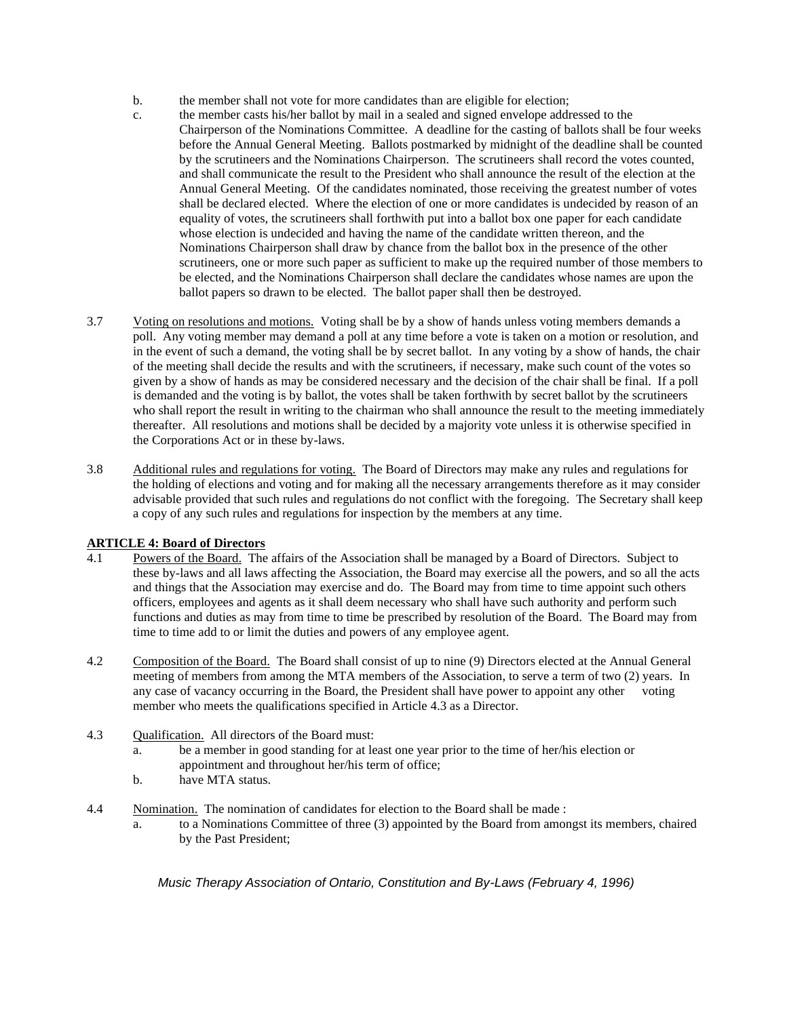- b. the member shall not vote for more candidates than are eligible for election;
- c. the member casts his/her ballot by mail in a sealed and signed envelope addressed to the Chairperson of the Nominations Committee. A deadline for the casting of ballots shall be four weeks before the Annual General Meeting. Ballots postmarked by midnight of the deadline shall be counted by the scrutineers and the Nominations Chairperson. The scrutineers shall record the votes counted, and shall communicate the result to the President who shall announce the result of the election at the Annual General Meeting. Of the candidates nominated, those receiving the greatest number of votes shall be declared elected. Where the election of one or more candidates is undecided by reason of an equality of votes, the scrutineers shall forthwith put into a ballot box one paper for each candidate whose election is undecided and having the name of the candidate written thereon, and the Nominations Chairperson shall draw by chance from the ballot box in the presence of the other scrutineers, one or more such paper as sufficient to make up the required number of those members to be elected, and the Nominations Chairperson shall declare the candidates whose names are upon the ballot papers so drawn to be elected. The ballot paper shall then be destroyed.
- 3.7 Voting on resolutions and motions. Voting shall be by a show of hands unless voting members demands a poll. Any voting member may demand a poll at any time before a vote is taken on a motion or resolution, and in the event of such a demand, the voting shall be by secret ballot. In any voting by a show of hands, the chair of the meeting shall decide the results and with the scrutineers, if necessary, make such count of the votes so given by a show of hands as may be considered necessary and the decision of the chair shall be final. If a poll is demanded and the voting is by ballot, the votes shall be taken forthwith by secret ballot by the scrutineers who shall report the result in writing to the chairman who shall announce the result to the meeting immediately thereafter. All resolutions and motions shall be decided by a majority vote unless it is otherwise specified in the Corporations Act or in these by-laws.
- 3.8 Additional rules and regulations for voting. The Board of Directors may make any rules and regulations for the holding of elections and voting and for making all the necessary arrangements therefore as it may consider advisable provided that such rules and regulations do not conflict with the foregoing. The Secretary shall keep a copy of any such rules and regulations for inspection by the members at any time.

## **ARTICLE 4: Board of Directors**

- 4.1 Powers of the Board. The affairs of the Association shall be managed by a Board of Directors. Subject to these by-laws and all laws affecting the Association, the Board may exercise all the powers, and so all the acts and things that the Association may exercise and do. The Board may from time to time appoint such others officers, employees and agents as it shall deem necessary who shall have such authority and perform such functions and duties as may from time to time be prescribed by resolution of the Board. The Board may from time to time add to or limit the duties and powers of any employee agent.
- 4.2 Composition of the Board. The Board shall consist of up to nine (9) Directors elected at the Annual General meeting of members from among the MTA members of the Association, to serve a term of two (2) years. In any case of vacancy occurring in the Board, the President shall have power to appoint any other voting member who meets the qualifications specified in Article 4.3 as a Director.
- 4.3 Qualification. All directors of the Board must:
	- a. be a member in good standing for at least one year prior to the time of her/his election or appointment and throughout her/his term of office;
	- b. have MTA status.
- 4.4 Nomination. The nomination of candidates for election to the Board shall be made :
	- a. to a Nominations Committee of three (3) appointed by the Board from amongst its members, chaired by the Past President;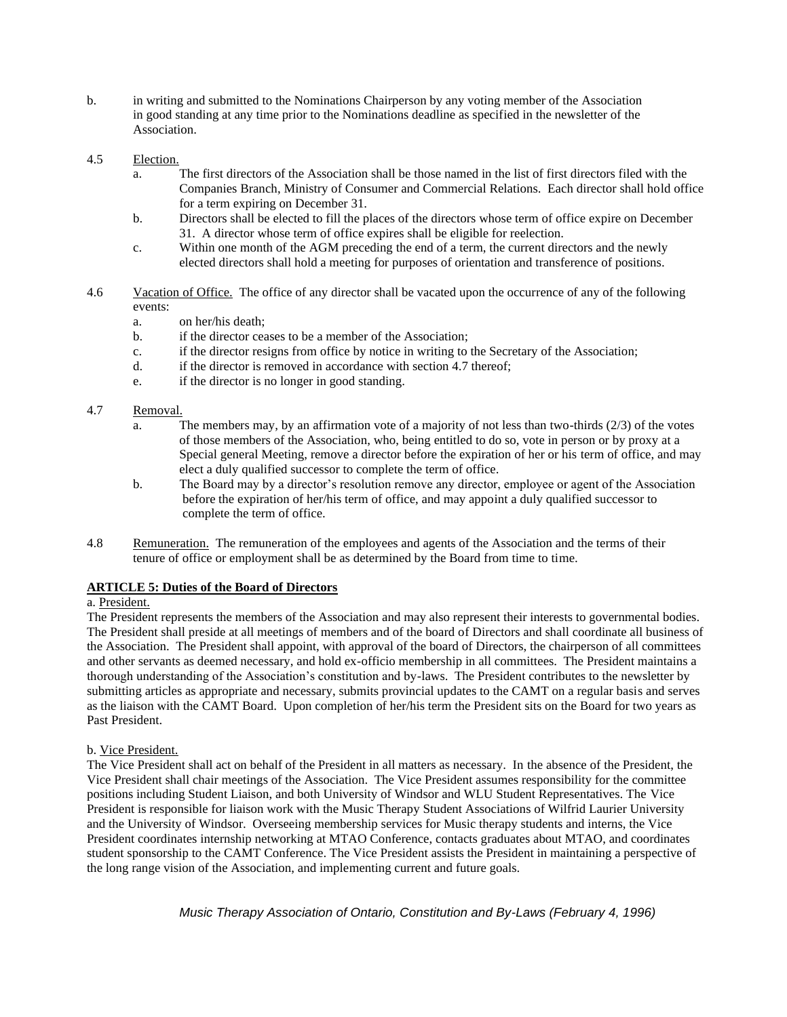- b. in writing and submitted to the Nominations Chairperson by any voting member of the Association in good standing at any time prior to the Nominations deadline as specified in the newsletter of the Association.
- 4.5 Election.
	- a. The first directors of the Association shall be those named in the list of first directors filed with the Companies Branch, Ministry of Consumer and Commercial Relations. Each director shall hold office for a term expiring on December 31.
	- b. Directors shall be elected to fill the places of the directors whose term of office expire on December 31. A director whose term of office expires shall be eligible for reelection.
	- c. Within one month of the AGM preceding the end of a term, the current directors and the newly elected directors shall hold a meeting for purposes of orientation and transference of positions.
- 4.6 Vacation of Office. The office of any director shall be vacated upon the occurrence of any of the following events:
	- a. on her/his death;
	- b. if the director ceases to be a member of the Association;
	- c. if the director resigns from office by notice in writing to the Secretary of the Association;
	- d. if the director is removed in accordance with section 4.7 thereof;
	- e. if the director is no longer in good standing.
- 4.7 Removal.
	- a. The members may, by an affirmation vote of a majority of not less than two-thirds (2/3) of the votes of those members of the Association, who, being entitled to do so, vote in person or by proxy at a Special general Meeting, remove a director before the expiration of her or his term of office, and may elect a duly qualified successor to complete the term of office.
	- b. The Board may by a director's resolution remove any director, employee or agent of the Association before the expiration of her/his term of office, and may appoint a duly qualified successor to complete the term of office.
- 4.8 Remuneration. The remuneration of the employees and agents of the Association and the terms of their tenure of office or employment shall be as determined by the Board from time to time.

#### **ARTICLE 5: Duties of the Board of Directors**

#### a. President.

The President represents the members of the Association and may also represent their interests to governmental bodies. The President shall preside at all meetings of members and of the board of Directors and shall coordinate all business of the Association. The President shall appoint, with approval of the board of Directors, the chairperson of all committees and other servants as deemed necessary, and hold ex-officio membership in all committees. The President maintains a thorough understanding of the Association's constitution and by-laws. The President contributes to the newsletter by submitting articles as appropriate and necessary, submits provincial updates to the CAMT on a regular basis and serves as the liaison with the CAMT Board. Upon completion of her/his term the President sits on the Board for two years as Past President.

#### b. Vice President.

The Vice President shall act on behalf of the President in all matters as necessary. In the absence of the President, the Vice President shall chair meetings of the Association. The Vice President assumes responsibility for the committee positions including Student Liaison, and both University of Windsor and WLU Student Representatives. The Vice President is responsible for liaison work with the Music Therapy Student Associations of Wilfrid Laurier University and the University of Windsor. Overseeing membership services for Music therapy students and interns, the Vice President coordinates internship networking at MTAO Conference, contacts graduates about MTAO, and coordinates student sponsorship to the CAMT Conference. The Vice President assists the President in maintaining a perspective of the long range vision of the Association, and implementing current and future goals.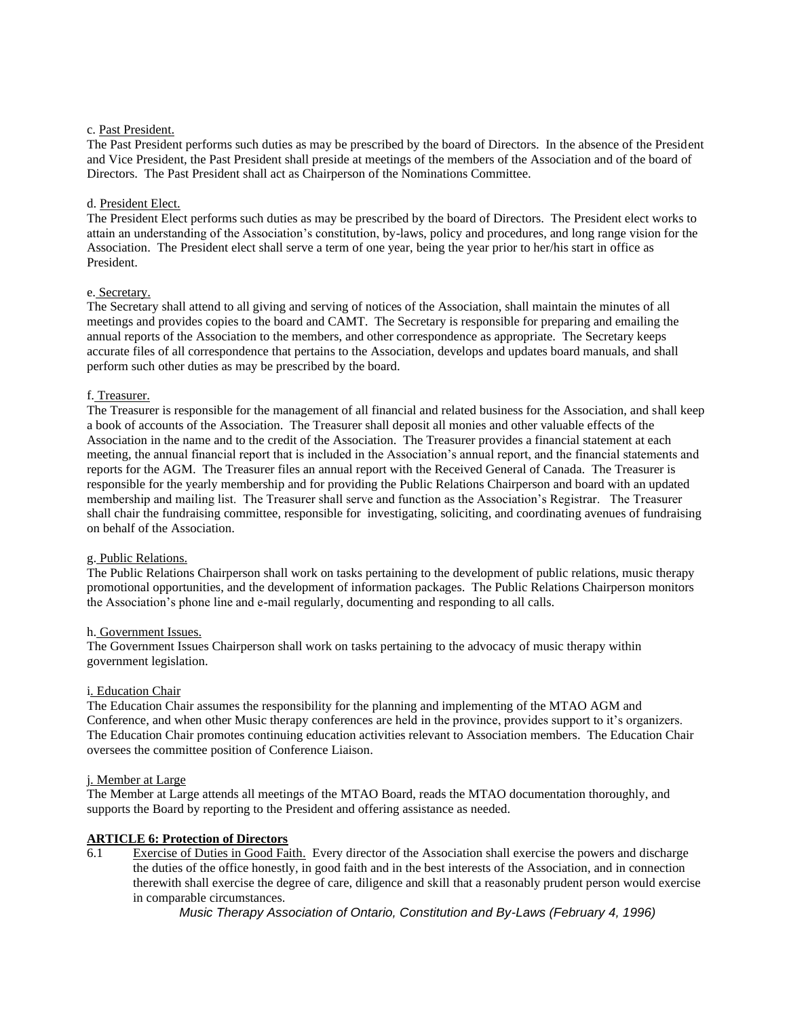#### c. Past President.

The Past President performs such duties as may be prescribed by the board of Directors. In the absence of the President and Vice President, the Past President shall preside at meetings of the members of the Association and of the board of Directors. The Past President shall act as Chairperson of the Nominations Committee.

### d. President Elect.

The President Elect performs such duties as may be prescribed by the board of Directors. The President elect works to attain an understanding of the Association's constitution, by-laws, policy and procedures, and long range vision for the Association. The President elect shall serve a term of one year, being the year prior to her/his start in office as President.

#### e. Secretary.

The Secretary shall attend to all giving and serving of notices of the Association, shall maintain the minutes of all meetings and provides copies to the board and CAMT. The Secretary is responsible for preparing and emailing the annual reports of the Association to the members, and other correspondence as appropriate. The Secretary keeps accurate files of all correspondence that pertains to the Association, develops and updates board manuals, and shall perform such other duties as may be prescribed by the board.

#### f. Treasurer.

The Treasurer is responsible for the management of all financial and related business for the Association, and shall keep a book of accounts of the Association. The Treasurer shall deposit all monies and other valuable effects of the Association in the name and to the credit of the Association. The Treasurer provides a financial statement at each meeting, the annual financial report that is included in the Association's annual report, and the financial statements and reports for the AGM. The Treasurer files an annual report with the Received General of Canada. The Treasurer is responsible for the yearly membership and for providing the Public Relations Chairperson and board with an updated membership and mailing list. The Treasurer shall serve and function as the Association's Registrar. The Treasurer shall chair the fundraising committee, responsible for investigating, soliciting, and coordinating avenues of fundraising on behalf of the Association.

## g. Public Relations.

The Public Relations Chairperson shall work on tasks pertaining to the development of public relations, music therapy promotional opportunities, and the development of information packages. The Public Relations Chairperson monitors the Association's phone line and e-mail regularly, documenting and responding to all calls.

#### h. Government Issues.

The Government Issues Chairperson shall work on tasks pertaining to the advocacy of music therapy within government legislation.

## i. Education Chair

The Education Chair assumes the responsibility for the planning and implementing of the MTAO AGM and Conference, and when other Music therapy conferences are held in the province, provides support to it's organizers. The Education Chair promotes continuing education activities relevant to Association members. The Education Chair oversees the committee position of Conference Liaison.

#### j. Member at Large

The Member at Large attends all meetings of the MTAO Board, reads the MTAO documentation thoroughly, and supports the Board by reporting to the President and offering assistance as needed.

## **ARTICLE 6: Protection of Directors**

6.1 Exercise of Duties in Good Faith. Every director of the Association shall exercise the powers and discharge the duties of the office honestly, in good faith and in the best interests of the Association, and in connection therewith shall exercise the degree of care, diligence and skill that a reasonably prudent person would exercise in comparable circumstances.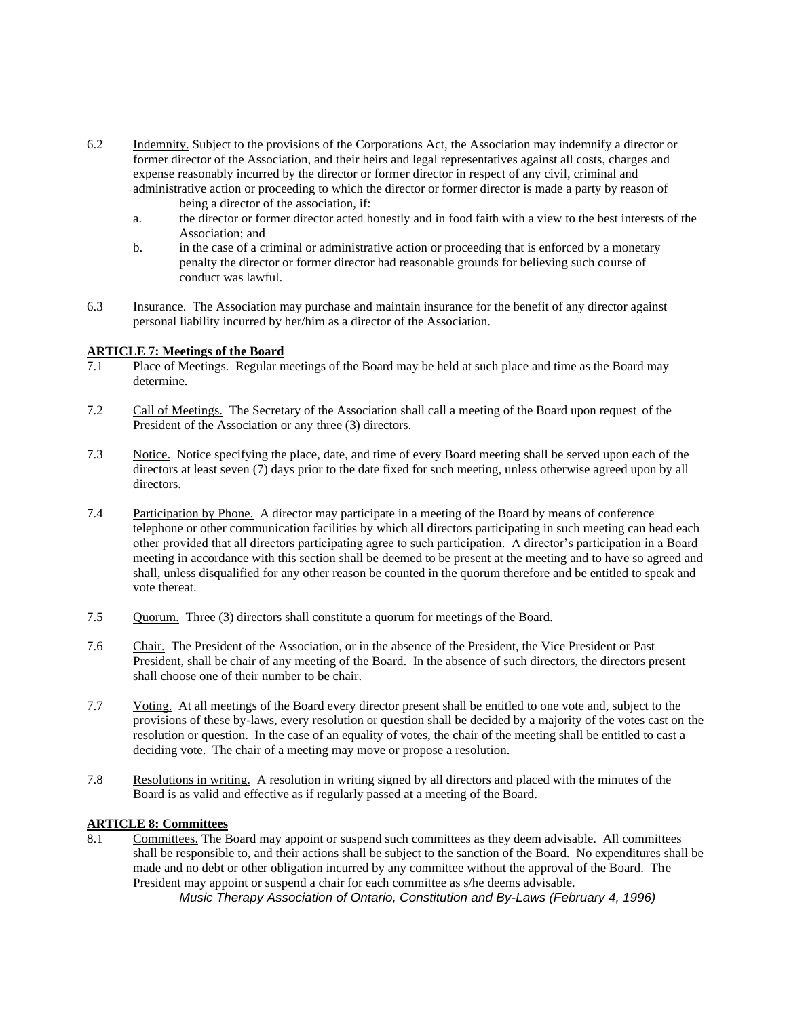- 6.2 Indemnity. Subject to the provisions of the Corporations Act, the Association may indemnify a director or former director of the Association, and their heirs and legal representatives against all costs, charges and expense reasonably incurred by the director or former director in respect of any civil, criminal and administrative action or proceeding to which the director or former director is made a party by reason of being a director of the association, if:
	- a. the director or former director acted honestly and in food faith with a view to the best interests of the Association; and
	- b. in the case of a criminal or administrative action or proceeding that is enforced by a monetary penalty the director or former director had reasonable grounds for believing such course of conduct was lawful.
- 6.3 Insurance. The Association may purchase and maintain insurance for the benefit of any director against personal liability incurred by her/him as a director of the Association.

#### **ARTICLE 7: Meetings of the Board**

- 7.1 Place of Meetings. Regular meetings of the Board may be held at such place and time as the Board may determine.
- 7.2 Call of Meetings. The Secretary of the Association shall call a meeting of the Board upon request of the President of the Association or any three (3) directors.
- 7.3 Notice. Notice specifying the place, date, and time of every Board meeting shall be served upon each of the directors at least seven (7) days prior to the date fixed for such meeting, unless otherwise agreed upon by all directors.
- 7.4 Participation by Phone. A director may participate in a meeting of the Board by means of conference telephone or other communication facilities by which all directors participating in such meeting can head each other provided that all directors participating agree to such participation. A director's participation in a Board meeting in accordance with this section shall be deemed to be present at the meeting and to have so agreed and shall, unless disqualified for any other reason be counted in the quorum therefore and be entitled to speak and vote thereat.
- 7.5 Quorum. Three (3) directors shall constitute a quorum for meetings of the Board.
- 7.6 Chair. The President of the Association, or in the absence of the President, the Vice President or Past President, shall be chair of any meeting of the Board. In the absence of such directors, the directors present shall choose one of their number to be chair.
- 7.7 Voting. At all meetings of the Board every director present shall be entitled to one vote and, subject to the provisions of these by-laws, every resolution or question shall be decided by a majority of the votes cast on the resolution or question. In the case of an equality of votes, the chair of the meeting shall be entitled to cast a deciding vote. The chair of a meeting may move or propose a resolution.
- 7.8 Resolutions in writing. A resolution in writing signed by all directors and placed with the minutes of the Board is as valid and effective as if regularly passed at a meeting of the Board.

#### **ARTICLE 8: Committees**

8.1 Committees. The Board may appoint or suspend such committees as they deem advisable. All committees shall be responsible to, and their actions shall be subject to the sanction of the Board. No expenditures shall be made and no debt or other obligation incurred by any committee without the approval of the Board. The President may appoint or suspend a chair for each committee as s/he deems advisable.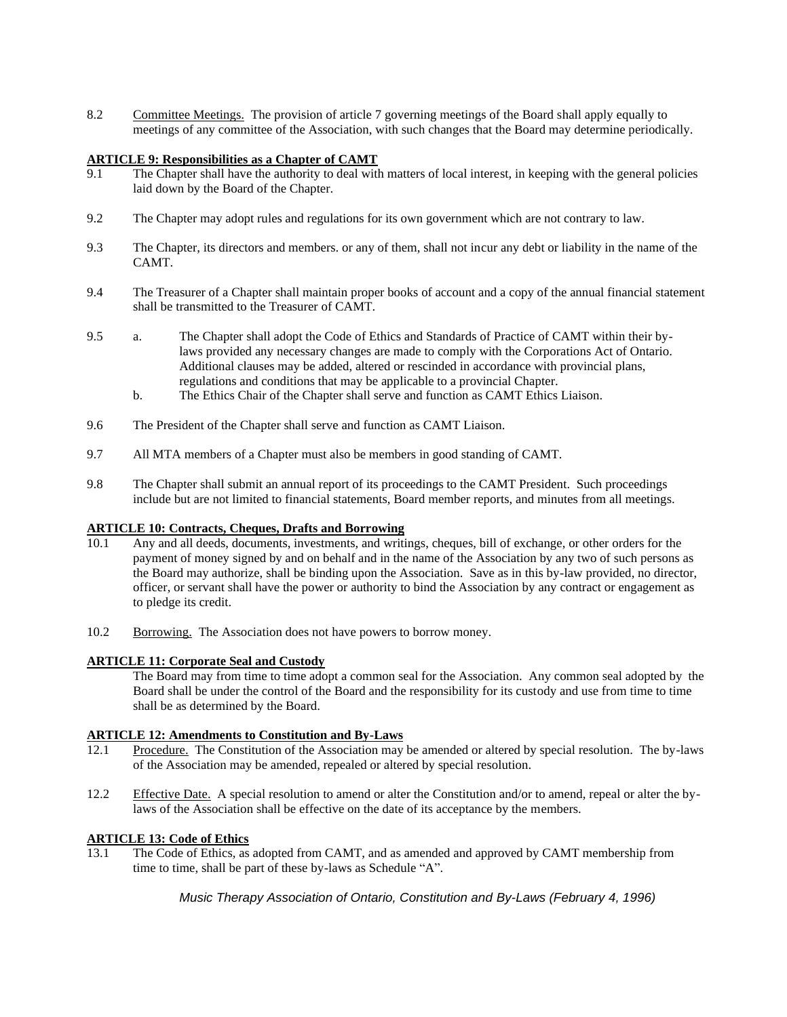8.2 Committee Meetings. The provision of article 7 governing meetings of the Board shall apply equally to meetings of any committee of the Association, with such changes that the Board may determine periodically.

## **ARTICLE 9: Responsibilities as a Chapter of CAMT**

- 9.1 The Chapter shall have the authority to deal with matters of local interest, in keeping with the general policies laid down by the Board of the Chapter.
- 9.2 The Chapter may adopt rules and regulations for its own government which are not contrary to law.
- 9.3 The Chapter, its directors and members. or any of them, shall not incur any debt or liability in the name of the CAMT.
- 9.4 The Treasurer of a Chapter shall maintain proper books of account and a copy of the annual financial statement shall be transmitted to the Treasurer of CAMT.
- 9.5 a. The Chapter shall adopt the Code of Ethics and Standards of Practice of CAMT within their bylaws provided any necessary changes are made to comply with the Corporations Act of Ontario. Additional clauses may be added, altered or rescinded in accordance with provincial plans, regulations and conditions that may be applicable to a provincial Chapter.
	- b. The Ethics Chair of the Chapter shall serve and function as CAMT Ethics Liaison.
- 9.6 The President of the Chapter shall serve and function as CAMT Liaison.
- 9.7 All MTA members of a Chapter must also be members in good standing of CAMT.
- 9.8 The Chapter shall submit an annual report of its proceedings to the CAMT President. Such proceedings include but are not limited to financial statements, Board member reports, and minutes from all meetings.

## **ARTICLE 10: Contracts, Cheques, Drafts and Borrowing**

- 10.1 Any and all deeds, documents, investments, and writings, cheques, bill of exchange, or other orders for the payment of money signed by and on behalf and in the name of the Association by any two of such persons as the Board may authorize, shall be binding upon the Association. Save as in this by-law provided, no director, officer, or servant shall have the power or authority to bind the Association by any contract or engagement as to pledge its credit.
- 10.2 Borrowing. The Association does not have powers to borrow money.

## **ARTICLE 11: Corporate Seal and Custody**

The Board may from time to time adopt a common seal for the Association. Any common seal adopted by the Board shall be under the control of the Board and the responsibility for its custody and use from time to time shall be as determined by the Board.

## **ARTICLE 12: Amendments to Constitution and By-Laws**

- 12.1 Procedure. The Constitution of the Association may be amended or altered by special resolution. The by-laws of the Association may be amended, repealed or altered by special resolution.
- 12.2 Effective Date. A special resolution to amend or alter the Constitution and/or to amend, repeal or alter the bylaws of the Association shall be effective on the date of its acceptance by the members.

## **ARTICLE 13: Code of Ethics**

13.1 The Code of Ethics, as adopted from CAMT, and as amended and approved by CAMT membership from time to time, shall be part of these by-laws as Schedule "A".